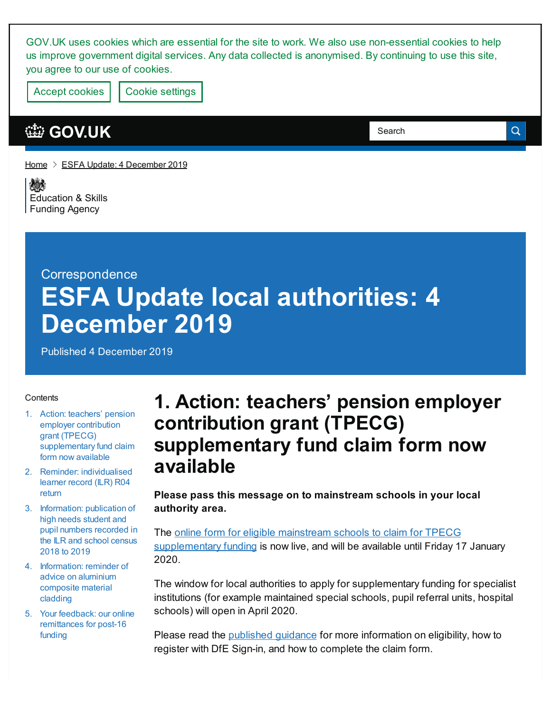GOV.UK uses cookies which are essential for the site to work. We also use non-essential cookies to help us improve government digital services. Any data collected is anonymised. By continuing to use this site, you agree to our use of cookies.

Accept cookies | Cookie [settings](https://www.gov.uk/help/cookies)

#### **[GOV.UK](https://www.gov.uk)**

Search

Q

[Home](https://www.gov.uk/)  $\geq$  ESFA Update: 4 [December](https://www.gov.uk/government/publications/esfa-update-4-december-2019) 2019

嫁 [Education](https://www.gov.uk/government/organisations/education-and-skills-funding-agency) & Skills Funding Agency

# **Correspondence ESFA Update local authorities: 4 December 2019**

Published 4 December 2019

#### **Contents**

- 1. Action: teachers' pension employer contribution grant (TPECG) [supplementary](#page-0-0) fund claim form now available
- 2. Reminder: [individualised](#page-1-0) learner record (ILR) R04 return
- 3. [Information:](#page-1-1) publication of high needs student and pupil numbers recorded in the ILR and school census 2018 to 2019
- 4. [Information:](#page-1-2) reminder of advice on aluminium composite material cladding
- 5. Your feedback: our online [remittances](#page-2-0) for post-16 funding

### <span id="page-0-0"></span>**1. Action: teachers' pension employer contribution grant (TPECG) supplementary fund claim form now available**

**Please pass this message on to mainstream schools in your local authority area.**

The online form for eligible mainstream schools to claim for TPECG [supplementary](https://form-sso.education.gov.uk/service/tpecg) funding is now live, and will be available until Friday 17 January 2020.

The window for local authorities to apply for supplementary funding for specialist institutions (for example maintained special schools, pupil referral units, hospital schools) will open in April 2020.

Please read the [published](https://www.gov.uk/government/publications/pension-grant-2019-to-2020-allocations-and-supplementary-fund/) guidance for more information on eligibility, how to register with DfE Sign-in, and how to complete the claim form.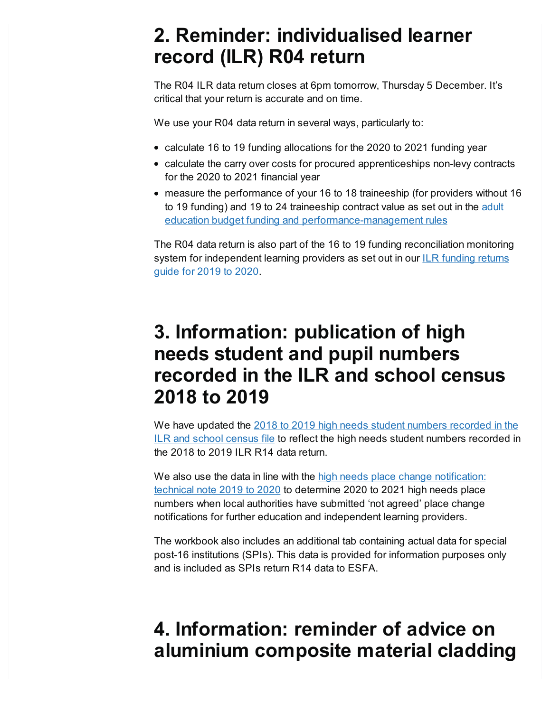### <span id="page-1-0"></span>**2. Reminder: individualised learner record (ILR) R04 return**

The R04 ILR data return closes at 6pm tomorrow, Thursday 5 December. It's critical that your return is accurate and on time.

We use your R04 data return in several ways, particularly to:

- calculate 16 to 19 funding allocations for the 2020 to 2021 funding year
- calculate the carry over costs for procured apprenticeships non-levy contracts for the 2020 to 2021 financial year
- measure the performance of your 16 to 18 traineeship (for providers without 16 to 19 funding) and 19 to 24 traineeship contract value as set out in the adult education budget funding and [performance-management](https://www.gov.uk/government/publications/adult-education-budget-aeb-funding-rules-2019-to-2020) rules

The R04 data return is also part of the 16 to 19 funding reconciliation monitoring system for [independent](https://www.gov.uk/government/publications/advice-individualised-learner-record-ilr-returns) learning providers as set out in our ILR funding returns guide for 2019 to 2020.

### <span id="page-1-1"></span>**3. Information: publication of high needs student and pupil numbers recorded in the ILR and school census 2018 to 2019**

We have updated the 2018 to 2019 high needs student numbers [recorded](https://www.gov.uk/government/publications/high-needs-funding-arrangements-2020-to-2021) in the ILR and school census file to reflect the high needs student numbers recorded in the 2018 to 2019 ILR R14 data return.

We also use the data in line with the high needs place change [notification:](https://www.gov.uk/government/publications/high-needs-funding-arrangements-2020-to-2021) technical note 2019 to 2020 to determine 2020 to 2021 high needs place numbers when local authorities have submitted 'not agreed' place change notifications for further education and independent learning providers.

The workbook also includes an additional tab containing actual data for special post-16 institutions (SPIs). This data is provided for information purposes only and is included as SPIs return R14 data to ESFA.

## <span id="page-1-2"></span>**4. Information: reminder of advice on aluminium composite material cladding**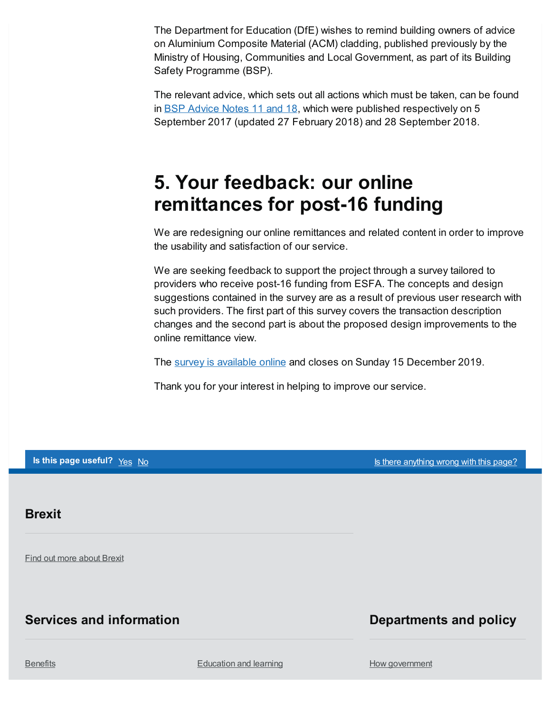The Department for Education (DfE) wishes to remind building owners of advice on Aluminium Composite Material (ACM) cladding, published previously by the Ministry of Housing, Communities and Local Government, as part of its Building Safety Programme (BSP).

The relevant advice, which sets out all actions which must be taken, can be found in **BSP** [Advice](https://www.gov.uk/guidance/building-safety-programme#advice-notes) Notes 11 and 18, which were published respectively on 5 September 2017 (updated 27 February 2018) and 28 September 2018.

## <span id="page-2-0"></span>**5. Your feedback: our online remittances for post-16 funding**

We are redesigning our online remittances and related content in order to improve the usability and satisfaction of our service.

We are seeking feedback to support the project through a survey tailored to providers who receive post-16 funding from ESFA. The concepts and design suggestions contained in the survey are as a result of previous user research with such providers. The first part of this survey covers the transaction description changes and the second part is about the proposed design improvements to the online remittance view.

The survey is [available](https://forms.gle/LPPK5ZHg3XZYHysG7) online and closes on Sunday 15 December 2019.

Thank you for your interest in helping to improve our service.

**Is this page useful?** Yes No Is there [anything](https://www.gov.uk/contact/govuk) wrong with this page?

#### **Brexit**

Find out more [about](https://www.gov.uk/brexit) Brexit

#### **Services and information**

#### **Departments and policy**

[Benefits](https://www.gov.uk/browse/benefits) **[Education](https://www.gov.uk/browse/education) and learning** 

How [government](https://www.gov.uk/government/how-government-works)